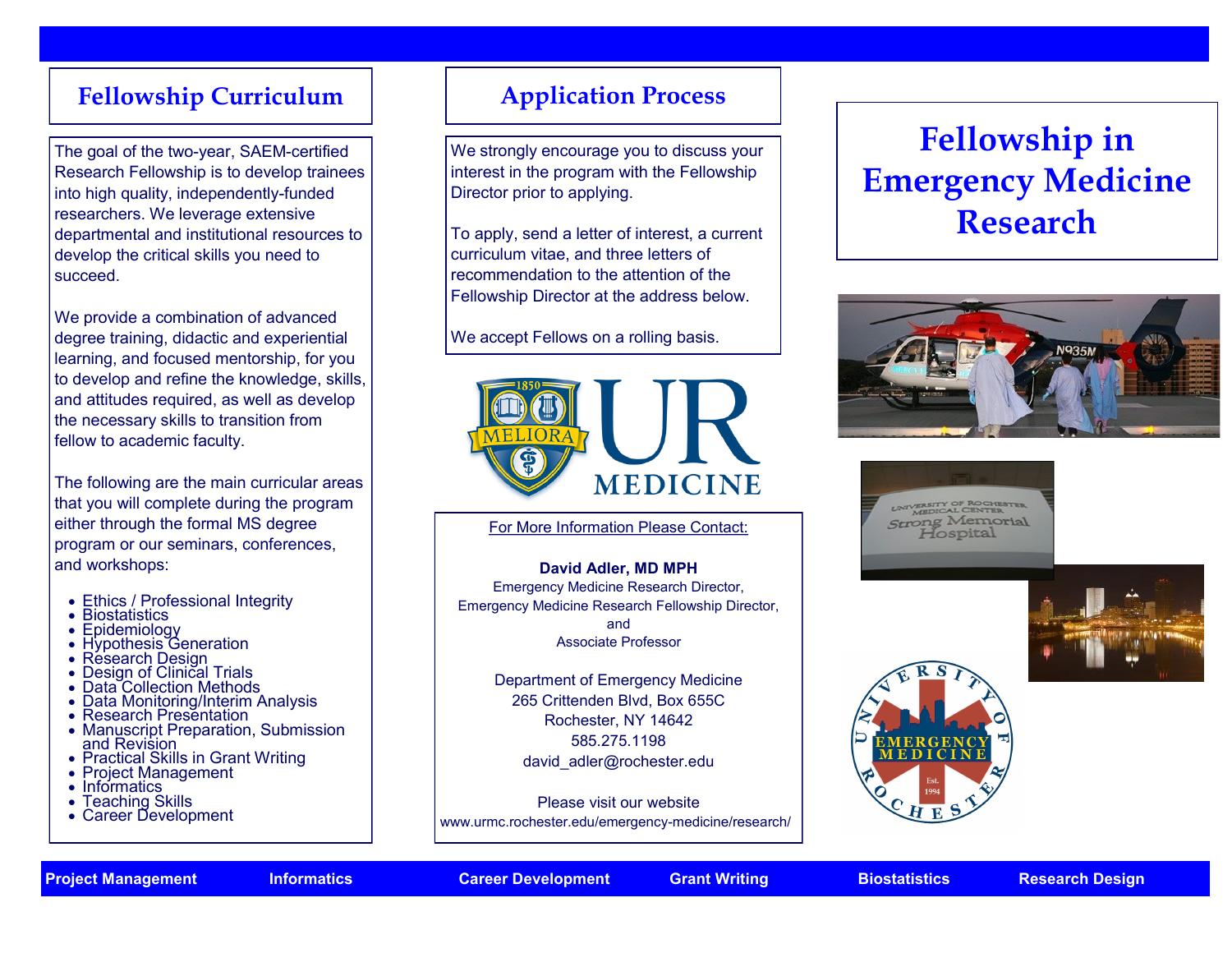# **Fellowship Curriculum | Application Process**

The goal of the two-year, SAEM-certified Research Fellowship is to develop trainees into high quality, independently-funded researchers. We leverage extensive departmental and institutional resources to develop the critical skills you need to succeed.

We provide a combination of advanced degree training, didactic and experiential learning, and focused mentorship, for you to develop and refine the knowledge, skills, and attitudes required, as well as develop the necessary skills to transition from fellow to academic faculty.

The following are the main curricular areas that you will complete during the program either through the formal MS degree program or our seminars, conferences, and workshops:

- Ethics / Professional Integrity
- Biostatistics
- Epidemiology
- Hypothesis Generation
- Résearch Design
- Design of Clinical Trials
- Data Collection Methods
- Data Monitoring/Interim Analysis
- Research Presentation
- Manuscript Preparation, Submission and Revision
- Practical Skills in Grant Writing
- Project Management
- Informatics
- Teaching Skills
- Career Development

We strongly encourage you to discuss your interest in the program with the Fellowship Director prior to applying.

To apply, send a letter of interest, a current curriculum vitae, and three letters of recommendation to the attention of the Fellowship Director at the address below.

We accept Fellows on a rolling basis.



## For More Information Please Contact:

### **David Adler, MD MPH**

Emergency Medicine Research Director, Emergency Medicine Research Fellowship Director, and Associate Professor

> Department of Emergency Medicine 265 Crittenden Blvd, Box 655C Rochester, NY 14642 585.275.1198 david\_adler@rochester.edu

Please visit our website [www.urmc.rochester.edu/emergency](http://www.urmc.rochester.edu/emergency-medicine/research/)-medicine/research/

# **Fellowship in Emergency Medicine Research**



UNIVERSITY OF ROCHESTER **Strong Memorial** Hospital





**Project Management Informatics Career Development Grant Writing Biostatistics Research Design**